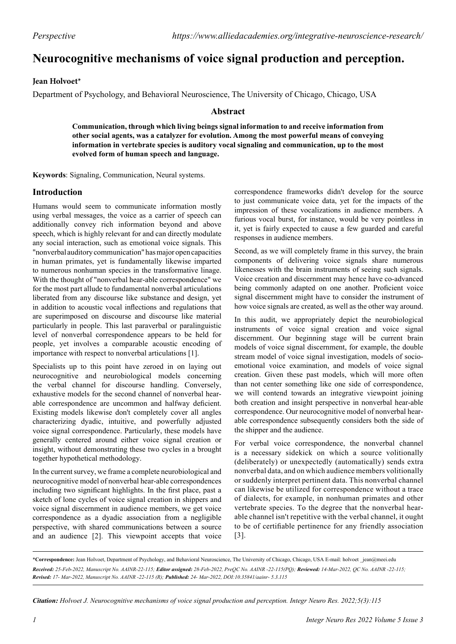# **Neurocognitive mechanisms of voice signal production and perception.**

# **Jean Holvoet\***

Department of Psychology, and Behavioral Neuroscience, The University of Chicago, Chicago, USA

### **Abstract**

**Communication, through which living beings signal information to and receive information from other social agents, was a catalyzer for evolution. Among the most powerful means of conveying information in vertebrate species is auditory vocal signaling and communication, up to the most evolved form of human speech and language.**

**Keywords**: Signaling, Communication, Neural systems.

# **Introduction**

Humans would seem to communicate information mostly using verbal messages, the voice as a carrier of speech can additionally convey rich information beyond and above speech, which is highly relevant for and can directly modulate any social interaction, such as emotional voice signals. This "nonverbal auditory communication" has major open capacities in human primates, yet is fundamentally likewise imparted to numerous nonhuman species in the transformative linage. With the thought of "nonverbal hear-able correspondence" we for the most part allude to fundamental nonverbal articulations liberated from any discourse like substance and design, yet in addition to acoustic vocal inflections and regulations that are superimposed on discourse and discourse like material particularly in people. This last paraverbal or paralinguistic level of nonverbal correspondence appears to be held for people, yet involves a comparable acoustic encoding of importance with respect to nonverbal articulations [1].

Specialists up to this point have zeroed in on laying out neurocognitive and neurobiological models concerning the verbal channel for discourse handling. Conversely, exhaustive models for the second channel of nonverbal hearable correspondence are uncommon and halfway deficient. Existing models likewise don't completely cover all angles characterizing dyadic, intuitive, and powerfully adjusted voice signal correspondence. Particularly, these models have generally centered around either voice signal creation or insight, without demonstrating these two cycles in a brought together hypothetical methodology.

In the current survey, we frame a complete neurobiological and neurocognitive model of nonverbal hear-able correspondences including two significant highlights. In the first place, past a sketch of lone cycles of voice signal creation in shippers and voice signal discernment in audience members, we get voice correspondence as a dyadic association from a negligible perspective, with shared communications between a source and an audience [2]. This viewpoint accepts that voice

correspondence frameworks didn't develop for the source to just communicate voice data, yet for the impacts of the impression of these vocalizations in audience members. A furious vocal burst, for instance, would be very pointless in it, yet is fairly expected to cause a few guarded and careful responses in audience members.

Second, as we will completely frame in this survey, the brain components of delivering voice signals share numerous likenesses with the brain instruments of seeing such signals. Voice creation and discernment may hence have co-advanced being commonly adapted on one another. Proficient voice signal discernment might have to consider the instrument of how voice signals are created, as well as the other way around.

In this audit, we appropriately depict the neurobiological instruments of voice signal creation and voice signal discernment. Our beginning stage will be current brain models of voice signal discernment, for example, the double stream model of voice signal investigation, models of socioemotional voice examination, and models of voice signal creation. Given these past models, which will more often than not center something like one side of correspondence, we will contend towards an integrative viewpoint joining both creation and insight perspective in nonverbal hear-able correspondence. Our neurocognitive model of nonverbal hearable correspondence subsequently considers both the side of the shipper and the audience.

For verbal voice correspondence, the nonverbal channel is a necessary sidekick on which a source volitionally (deliberately) or unexpectedly (automatically) sends extra nonverbal data, and on which audience members volitionally or suddenly interpret pertinent data. This nonverbal channel can likewise be utilized for correspondence without a trace of dialects, for example, in nonhuman primates and other vertebrate species. To the degree that the nonverbal hearable channel isn't repetitive with the verbal channel, it ought to be of certifiable pertinence for any friendly association [3].

\***Correspondence:** Jean Holvoet, Department of Psychology, and Behavioral Neuroscience, The University of Chicago, Chicago, USA E-mail: holvoet \_jean@meei.edu *Received: 25-Feb-2022, Manuscript No. AAINR-22-115; Editor assigned: 28-Feb-2022, PreQC No. AAINR -22-115(PQ); Reviewed: 14-Mar-2022, QC No. AAINR -22-115; Revised: 17- Mar-2022, Manuscript No. AAINR -22-115 (R); Published: 24- Mar-2022, DOI:10.35841/aainr- 5.3.115*

*Citation: Holvoet J. Neurocognitive mechanisms of voice signal production and perception. Integr Neuro Res. 2022;5(3):115*